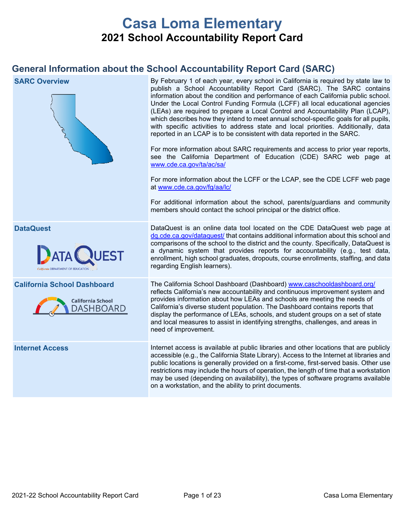# **Casa Loma Elementary 2021 School Accountability Report Card**

## **General Information about the School Accountability Report Card (SARC)**

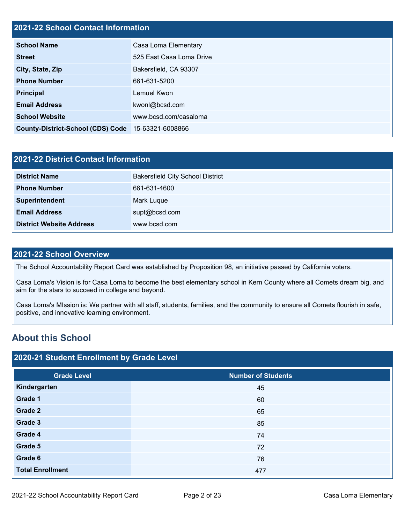## **2021-22 School Contact Information**

| <b>School Name</b>                                 | Casa Loma Elementary     |  |  |
|----------------------------------------------------|--------------------------|--|--|
| <b>Street</b>                                      | 525 East Casa Loma Drive |  |  |
| City, State, Zip                                   | Bakersfield, CA 93307    |  |  |
| <b>Phone Number</b>                                | 661-631-5200             |  |  |
| <b>Principal</b>                                   | Lemuel Kwon              |  |  |
| <b>Email Address</b>                               | kwonl@bcsd.com           |  |  |
| <b>School Website</b>                              | www.bcsd.com/casaloma    |  |  |
| County-District-School (CDS) Code 15-63321-6008866 |                          |  |  |

| 2021-22 District Contact Information |                                         |  |  |
|--------------------------------------|-----------------------------------------|--|--|
| <b>District Name</b>                 | <b>Bakersfield City School District</b> |  |  |
| <b>Phone Number</b>                  | 661-631-4600                            |  |  |
| Superintendent                       | Mark Luque                              |  |  |
| <b>Email Address</b>                 | supt@bcsd.com                           |  |  |
| <b>District Website Address</b>      | www.bcsd.com                            |  |  |

#### **2021-22 School Overview**

The School Accountability Report Card was established by Proposition 98, an initiative passed by California voters.

Casa Loma's Vision is for Casa Loma to become the best elementary school in Kern County where all Comets dream big, and aim for the stars to succeed in college and beyond.

Casa Loma's MIssion is: We partner with all staff, students, families, and the community to ensure all Comets flourish in safe, positive, and innovative learning environment.

## **About this School**

| 2020-21 Student Enrollment by Grade Level |                           |  |  |  |
|-------------------------------------------|---------------------------|--|--|--|
| <b>Grade Level</b>                        | <b>Number of Students</b> |  |  |  |
| Kindergarten                              | 45                        |  |  |  |
| Grade 1                                   | 60                        |  |  |  |
| Grade 2                                   | 65                        |  |  |  |
| Grade 3                                   | 85                        |  |  |  |
| Grade 4                                   | 74                        |  |  |  |
| Grade 5                                   | 72                        |  |  |  |
| Grade 6                                   | 76                        |  |  |  |
| <b>Total Enrollment</b>                   | 477                       |  |  |  |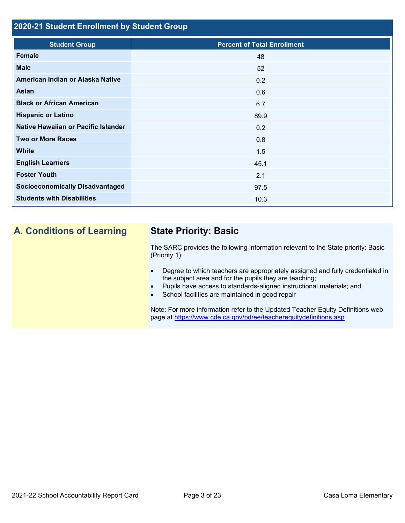## **2020-21 Student Enrollment by Student Group**

| <b>Student Group</b>                   | <b>Percent of Total Enrollment</b> |
|----------------------------------------|------------------------------------|
| Female                                 | 48                                 |
| <b>Male</b>                            | 52                                 |
| American Indian or Alaska Native       | 0.2                                |
| Asian                                  | 0.6                                |
| <b>Black or African American</b>       | 6.7                                |
| <b>Hispanic or Latino</b>              | 89.9                               |
| Native Hawaiian or Pacific Islander    | 0.2                                |
| <b>Two or More Races</b>               | 0.8                                |
| <b>White</b>                           | 1.5                                |
| <b>English Learners</b>                | 45.1                               |
| <b>Foster Youth</b>                    | 2.1                                |
| <b>Socioeconomically Disadvantaged</b> | 97.5                               |
| <b>Students with Disabilities</b>      | 10.3                               |
|                                        |                                    |

## **A. Conditions of Learning State Priority: Basic**

The SARC provides the following information relevant to the State priority: Basic (Priority 1):

- Degree to which teachers are appropriately assigned and fully credentialed in the subject area and for the pupils they are teaching;
- Pupils have access to standards-aligned instructional materials; and
- School facilities are maintained in good repair

Note: For more information refer to the Updated Teacher Equity Definitions web page at<https://www.cde.ca.gov/pd/ee/teacherequitydefinitions.asp>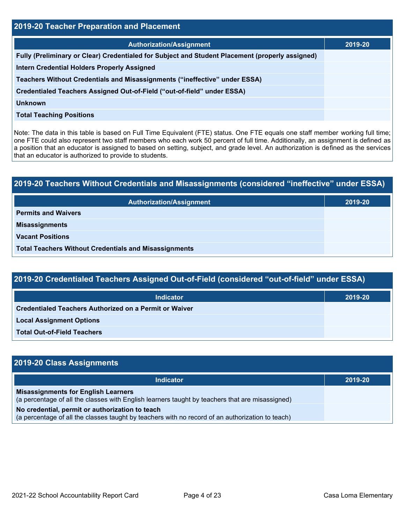| <b>2019-20 Teacher Preparation and Placement</b>                                                |         |  |  |  |
|-------------------------------------------------------------------------------------------------|---------|--|--|--|
| <b>Authorization/Assignment</b>                                                                 | 2019-20 |  |  |  |
| Fully (Preliminary or Clear) Credentialed for Subject and Student Placement (properly assigned) |         |  |  |  |
| <b>Intern Credential Holders Properly Assigned</b>                                              |         |  |  |  |
| Teachers Without Credentials and Misassignments ("ineffective" under ESSA)                      |         |  |  |  |
| Credentialed Teachers Assigned Out-of-Field ("out-of-field" under ESSA)                         |         |  |  |  |
| <b>Unknown</b>                                                                                  |         |  |  |  |
| <b>Total Teaching Positions</b>                                                                 |         |  |  |  |

Note: The data in this table is based on Full Time Equivalent (FTE) status. One FTE equals one staff member working full time; one FTE could also represent two staff members who each work 50 percent of full time. Additionally, an assignment is defined as a position that an educator is assigned to based on setting, subject, and grade level. An authorization is defined as the services that an educator is authorized to provide to students.

# **2019-20 Teachers Without Credentials and Misassignments (considered "ineffective" under ESSA) Authorization/Assignment 2019-20 Permits and Waivers Misassignments Vacant Positions Total Teachers Without Credentials and Misassignments**

| 2019-20 Credentialed Teachers Assigned Out-of-Field (considered "out-of-field" under ESSA) |         |  |  |  |
|--------------------------------------------------------------------------------------------|---------|--|--|--|
| <b>Indicator</b>                                                                           | 2019-20 |  |  |  |
| <b>Credentialed Teachers Authorized on a Permit or Waiver</b>                              |         |  |  |  |

**Total Out-of-Field Teachers**

| 2019-20 Class Assignments                                                                                                                           |         |  |  |  |
|-----------------------------------------------------------------------------------------------------------------------------------------------------|---------|--|--|--|
| Indicator                                                                                                                                           | 2019-20 |  |  |  |
| <b>Misassignments for English Learners</b><br>(a percentage of all the classes with English learners taught by teachers that are misassigned)       |         |  |  |  |
| No credential, permit or authorization to teach<br>(a percentage of all the classes taught by teachers with no record of an authorization to teach) |         |  |  |  |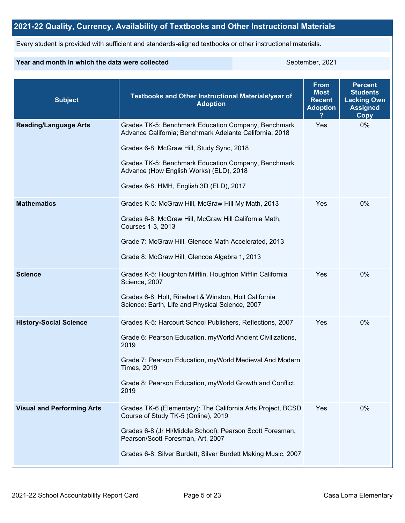## **2021-22 Quality, Currency, Availability of Textbooks and Other Instructional Materials**

Every student is provided with sufficient and standards-aligned textbooks or other instructional materials.

### **Year and month in which the data were collected** September, 2021

| <b>Subject</b>                    | Textbooks and Other Instructional Materials/year of<br><b>Adoption</b>                                                                                                                                                                                                                                   | <b>From</b><br><b>Most</b><br><b>Recent</b><br><b>Adoption</b> | <b>Percent</b><br><b>Students</b><br><b>Lacking Own</b><br><b>Assigned</b><br>Copy |
|-----------------------------------|----------------------------------------------------------------------------------------------------------------------------------------------------------------------------------------------------------------------------------------------------------------------------------------------------------|----------------------------------------------------------------|------------------------------------------------------------------------------------|
| <b>Reading/Language Arts</b>      | Grades TK-5: Benchmark Education Company, Benchmark<br>Advance California; Benchmark Adelante California, 2018<br>Grades 6-8: McGraw Hill, Study Sync, 2018<br>Grades TK-5: Benchmark Education Company, Benchmark<br>Advance (How English Works) (ELD), 2018<br>Grades 6-8: HMH, English 3D (ELD), 2017 | Yes                                                            | 0%                                                                                 |
| <b>Mathematics</b>                | Grades K-5: McGraw Hill, McGraw Hill My Math, 2013<br>Grades 6-8: McGraw Hill, McGraw Hill California Math,<br>Courses 1-3, 2013<br>Grade 7: McGraw Hill, Glencoe Math Accelerated, 2013<br>Grade 8: McGraw Hill, Glencoe Algebra 1, 2013                                                                | Yes                                                            | $0\%$                                                                              |
| <b>Science</b>                    | Grades K-5: Houghton Mifflin, Houghton Mifflin California<br>Science, 2007<br>Grades 6-8: Holt, Rinehart & Winston, Holt California<br>Science: Earth, Life and Physical Science, 2007                                                                                                                   | Yes                                                            | 0%                                                                                 |
| <b>History-Social Science</b>     | Grades K-5: Harcourt School Publishers, Reflections, 2007<br>Grade 6: Pearson Education, myWorld Ancient Civilizations,<br>2019<br>Grade 7: Pearson Education, myWorld Medieval And Modern<br><b>Times, 2019</b><br>Grade 8: Pearson Education, myWorld Growth and Conflict,<br>2019                     | Yes                                                            | 0%                                                                                 |
| <b>Visual and Performing Arts</b> | Grades TK-6 (Elementary): The California Arts Project, BCSD<br>Course of Study TK-5 (Online), 2019<br>Grades 6-8 (Jr Hi/Middle School): Pearson Scott Foresman,<br>Pearson/Scott Foresman, Art, 2007<br>Grades 6-8: Silver Burdett, Silver Burdett Making Music, 2007                                    | Yes                                                            | 0%                                                                                 |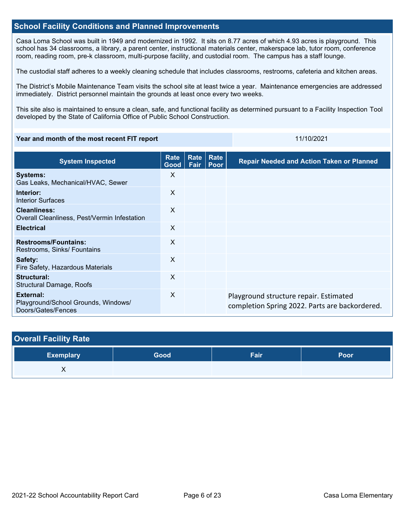### **School Facility Conditions and Planned Improvements**

Casa Loma School was built in 1949 and modernized in 1992. It sits on 8.77 acres of which 4.93 acres is playground. This school has 34 classrooms, a library, a parent center, instructional materials center, makerspace lab, tutor room, conference room, reading room, pre-k classroom, multi-purpose facility, and custodial room. The campus has a staff lounge.

The custodial staff adheres to a weekly cleaning schedule that includes classrooms, restrooms, cafeteria and kitchen areas.

The District's Mobile Maintenance Team visits the school site at least twice a year. Maintenance emergencies are addressed immediately. District personnel maintain the grounds at least once every two weeks.

This site also is maintained to ensure a clean, safe, and functional facility as determined pursuant to a Facility Inspection Tool developed by the State of California Office of Public School Construction.

#### **Year and month of the most recent FIT report** 11/10/2021 11/10/2021

| <b>System Inspected</b>                                                | Rate<br>Good              | Rate<br>Fair | <b>Rate</b><br>Poor | <b>Repair Needed and Action Taken or Planned</b>                                         |
|------------------------------------------------------------------------|---------------------------|--------------|---------------------|------------------------------------------------------------------------------------------|
| <b>Systems:</b><br>Gas Leaks, Mechanical/HVAC, Sewer                   | X                         |              |                     |                                                                                          |
| Interior:<br><b>Interior Surfaces</b>                                  | $\mathsf{X}$              |              |                     |                                                                                          |
| <b>Cleanliness:</b><br>Overall Cleanliness, Pest/Vermin Infestation    | $\mathsf{X}$              |              |                     |                                                                                          |
| <b>Electrical</b>                                                      | $\mathsf{x}$              |              |                     |                                                                                          |
| <b>Restrooms/Fountains:</b><br>Restrooms, Sinks/ Fountains             | $\times$                  |              |                     |                                                                                          |
| Safety:<br>Fire Safety, Hazardous Materials                            | $\boldsymbol{\mathsf{X}}$ |              |                     |                                                                                          |
| Structural:<br><b>Structural Damage, Roofs</b>                         | $\boldsymbol{\mathsf{X}}$ |              |                     |                                                                                          |
| External:<br>Playground/School Grounds, Windows/<br>Doors/Gates/Fences | $\boldsymbol{\mathsf{X}}$ |              |                     | Playground structure repair. Estimated<br>completion Spring 2022. Parts are backordered. |

| <b>Overall Facility Rate</b> |      |      |      |
|------------------------------|------|------|------|
| <b>Exemplary</b>             | Good | Fair | Poor |
| Λ                            |      |      |      |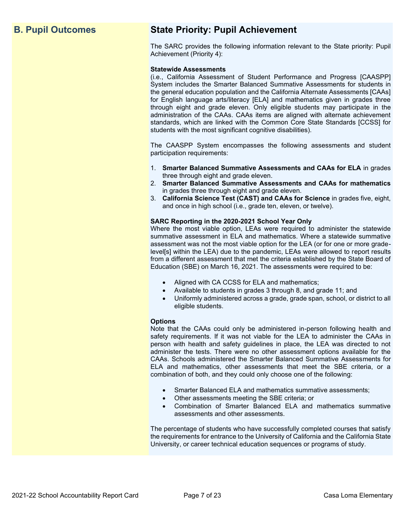## **B. Pupil Outcomes State Priority: Pupil Achievement**

The SARC provides the following information relevant to the State priority: Pupil Achievement (Priority 4):

#### **Statewide Assessments**

(i.e., California Assessment of Student Performance and Progress [CAASPP] System includes the Smarter Balanced Summative Assessments for students in the general education population and the California Alternate Assessments [CAAs] for English language arts/literacy [ELA] and mathematics given in grades three through eight and grade eleven. Only eligible students may participate in the administration of the CAAs. CAAs items are aligned with alternate achievement standards, which are linked with the Common Core State Standards [CCSS] for students with the most significant cognitive disabilities).

The CAASPP System encompasses the following assessments and student participation requirements:

- 1. **Smarter Balanced Summative Assessments and CAAs for ELA** in grades three through eight and grade eleven.
- 2. **Smarter Balanced Summative Assessments and CAAs for mathematics** in grades three through eight and grade eleven.
- 3. **California Science Test (CAST) and CAAs for Science** in grades five, eight, and once in high school (i.e., grade ten, eleven, or twelve).

#### **SARC Reporting in the 2020-2021 School Year Only**

Where the most viable option, LEAs were required to administer the statewide summative assessment in ELA and mathematics. Where a statewide summative assessment was not the most viable option for the LEA (or for one or more gradelevel[s] within the LEA) due to the pandemic, LEAs were allowed to report results from a different assessment that met the criteria established by the State Board of Education (SBE) on March 16, 2021. The assessments were required to be:

- Aligned with CA CCSS for ELA and mathematics;
- Available to students in grades 3 through 8, and grade 11; and
- Uniformly administered across a grade, grade span, school, or district to all eligible students.

#### **Options**

Note that the CAAs could only be administered in-person following health and safety requirements. If it was not viable for the LEA to administer the CAAs in person with health and safety guidelines in place, the LEA was directed to not administer the tests. There were no other assessment options available for the CAAs. Schools administered the Smarter Balanced Summative Assessments for ELA and mathematics, other assessments that meet the SBE criteria, or a combination of both, and they could only choose one of the following:

- Smarter Balanced ELA and mathematics summative assessments;
- Other assessments meeting the SBE criteria; or
- Combination of Smarter Balanced ELA and mathematics summative assessments and other assessments.

The percentage of students who have successfully completed courses that satisfy the requirements for entrance to the University of California and the California State University, or career technical education sequences or programs of study.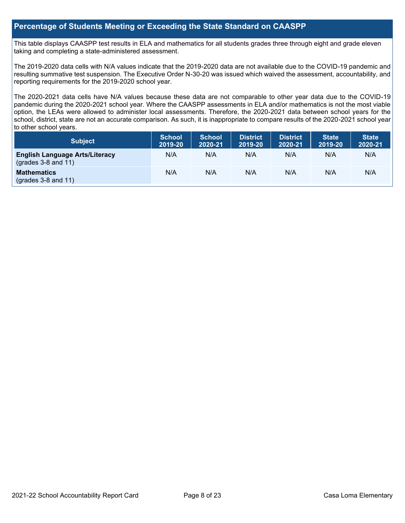## **Percentage of Students Meeting or Exceeding the State Standard on CAASPP**

This table displays CAASPP test results in ELA and mathematics for all students grades three through eight and grade eleven taking and completing a state-administered assessment.

The 2019-2020 data cells with N/A values indicate that the 2019-2020 data are not available due to the COVID-19 pandemic and resulting summative test suspension. The Executive Order N-30-20 was issued which waived the assessment, accountability, and reporting requirements for the 2019-2020 school year.

The 2020-2021 data cells have N/A values because these data are not comparable to other year data due to the COVID-19 pandemic during the 2020-2021 school year. Where the CAASPP assessments in ELA and/or mathematics is not the most viable option, the LEAs were allowed to administer local assessments. Therefore, the 2020-2021 data between school years for the school, district, state are not an accurate comparison. As such, it is inappropriate to compare results of the 2020-2021 school year to other school years.

| Subject                                                              | <b>School</b><br>2019-20 | <b>School</b><br>2020-21 | <b>District</b><br>2019-20 | <b>District</b><br>2020-21 | <b>State</b><br>2019-20 | <b>State</b><br>2020-21 |
|----------------------------------------------------------------------|--------------------------|--------------------------|----------------------------|----------------------------|-------------------------|-------------------------|
| <b>English Language Arts/Literacy</b><br>$\left($ grades 3-8 and 11) | N/A                      | N/A                      | N/A                        | N/A                        | N/A                     | N/A                     |
| <b>Mathematics</b><br>$(grades 3-8 and 11)$                          | N/A                      | N/A                      | N/A                        | N/A                        | N/A                     | N/A                     |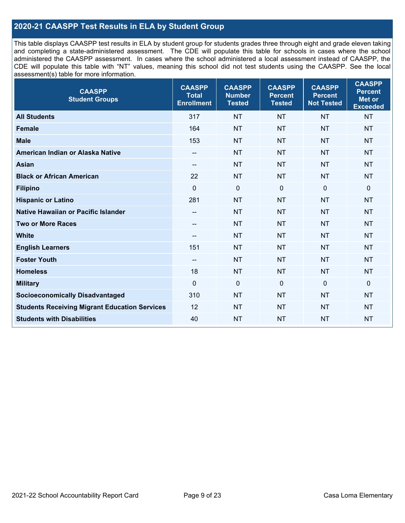## **2020-21 CAASPP Test Results in ELA by Student Group**

This table displays CAASPP test results in ELA by student group for students grades three through eight and grade eleven taking and completing a state-administered assessment. The CDE will populate this table for schools in cases where the school administered the CAASPP assessment. In cases where the school administered a local assessment instead of CAASPP, the CDE will populate this table with "NT" values, meaning this school did not test students using the CAASPP. See the local assessment(s) table for more information.

| <b>CAASPP</b><br><b>Student Groups</b>               | <b>CAASPP</b><br><b>Total</b><br><b>Enrollment</b> | <b>CAASPP</b><br><b>Number</b><br><b>Tested</b> | <b>CAASPP</b><br><b>Percent</b><br><b>Tested</b> | <b>CAASPP</b><br><b>Percent</b><br><b>Not Tested</b> | <b>CAASPP</b><br><b>Percent</b><br><b>Met or</b><br><b>Exceeded</b> |
|------------------------------------------------------|----------------------------------------------------|-------------------------------------------------|--------------------------------------------------|------------------------------------------------------|---------------------------------------------------------------------|
| <b>All Students</b>                                  | 317                                                | <b>NT</b>                                       | <b>NT</b>                                        | <b>NT</b>                                            | <b>NT</b>                                                           |
| <b>Female</b>                                        | 164                                                | <b>NT</b>                                       | <b>NT</b>                                        | <b>NT</b>                                            | <b>NT</b>                                                           |
| <b>Male</b>                                          | 153                                                | <b>NT</b>                                       | <b>NT</b>                                        | <b>NT</b>                                            | <b>NT</b>                                                           |
| American Indian or Alaska Native                     | $-$                                                | <b>NT</b>                                       | <b>NT</b>                                        | <b>NT</b>                                            | <b>NT</b>                                                           |
| <b>Asian</b>                                         | --                                                 | <b>NT</b>                                       | <b>NT</b>                                        | <b>NT</b>                                            | <b>NT</b>                                                           |
| <b>Black or African American</b>                     | 22                                                 | <b>NT</b>                                       | <b>NT</b>                                        | <b>NT</b>                                            | <b>NT</b>                                                           |
| <b>Filipino</b>                                      | $\mathbf 0$                                        | $\mathbf 0$                                     | $\mathbf 0$                                      | $\mathbf 0$                                          | $\mathbf 0$                                                         |
| <b>Hispanic or Latino</b>                            | 281                                                | <b>NT</b>                                       | <b>NT</b>                                        | <b>NT</b>                                            | <b>NT</b>                                                           |
| Native Hawaiian or Pacific Islander                  | --                                                 | <b>NT</b>                                       | <b>NT</b>                                        | <b>NT</b>                                            | <b>NT</b>                                                           |
| <b>Two or More Races</b>                             | $-$                                                | <b>NT</b>                                       | <b>NT</b>                                        | <b>NT</b>                                            | <b>NT</b>                                                           |
| <b>White</b>                                         | --                                                 | <b>NT</b>                                       | <b>NT</b>                                        | <b>NT</b>                                            | <b>NT</b>                                                           |
| <b>English Learners</b>                              | 151                                                | <b>NT</b>                                       | <b>NT</b>                                        | <b>NT</b>                                            | <b>NT</b>                                                           |
| <b>Foster Youth</b>                                  | $\overline{\phantom{a}}$                           | <b>NT</b>                                       | <b>NT</b>                                        | <b>NT</b>                                            | <b>NT</b>                                                           |
| <b>Homeless</b>                                      | 18                                                 | <b>NT</b>                                       | <b>NT</b>                                        | <b>NT</b>                                            | <b>NT</b>                                                           |
| <b>Military</b>                                      | $\mathbf 0$                                        | $\mathbf 0$                                     | $\mathbf 0$                                      | $\mathbf 0$                                          | $\mathbf 0$                                                         |
| <b>Socioeconomically Disadvantaged</b>               | 310                                                | <b>NT</b>                                       | <b>NT</b>                                        | <b>NT</b>                                            | <b>NT</b>                                                           |
| <b>Students Receiving Migrant Education Services</b> | 12                                                 | <b>NT</b>                                       | <b>NT</b>                                        | <b>NT</b>                                            | <b>NT</b>                                                           |
| <b>Students with Disabilities</b>                    | 40                                                 | <b>NT</b>                                       | <b>NT</b>                                        | <b>NT</b>                                            | NT                                                                  |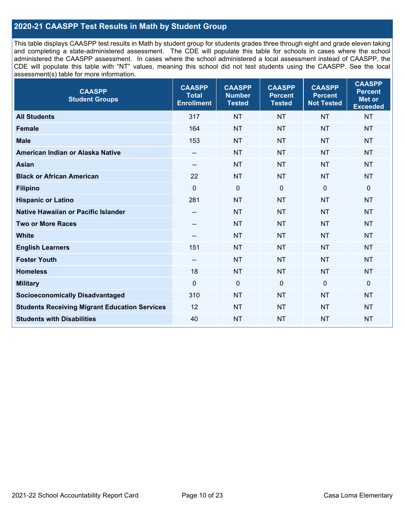## **2020-21 CAASPP Test Results in Math by Student Group**

This table displays CAASPP test results in Math by student group for students grades three through eight and grade eleven taking and completing a state-administered assessment. The CDE will populate this table for schools in cases where the school administered the CAASPP assessment. In cases where the school administered a local assessment instead of CAASPP, the CDE will populate this table with "NT" values, meaning this school did not test students using the CAASPP. See the local assessment(s) table for more information.

| <b>CAASPP</b><br><b>Student Groups</b>               | <b>CAASPP</b><br><b>Total</b><br><b>Enrollment</b> | <b>CAASPP</b><br><b>Number</b><br><b>Tested</b> | <b>CAASPP</b><br><b>Percent</b><br><b>Tested</b> | <b>CAASPP</b><br><b>Percent</b><br><b>Not Tested</b> | <b>CAASPP</b><br><b>Percent</b><br><b>Met or</b><br><b>Exceeded</b> |
|------------------------------------------------------|----------------------------------------------------|-------------------------------------------------|--------------------------------------------------|------------------------------------------------------|---------------------------------------------------------------------|
| <b>All Students</b>                                  | 317                                                | <b>NT</b>                                       | <b>NT</b>                                        | <b>NT</b>                                            | <b>NT</b>                                                           |
| <b>Female</b>                                        | 164                                                | <b>NT</b>                                       | <b>NT</b>                                        | <b>NT</b>                                            | <b>NT</b>                                                           |
| <b>Male</b>                                          | 153                                                | <b>NT</b>                                       | <b>NT</b>                                        | <b>NT</b>                                            | <b>NT</b>                                                           |
| American Indian or Alaska Native                     | $\qquad \qquad -$                                  | <b>NT</b>                                       | <b>NT</b>                                        | <b>NT</b>                                            | <b>NT</b>                                                           |
| <b>Asian</b>                                         | --                                                 | <b>NT</b>                                       | <b>NT</b>                                        | <b>NT</b>                                            | <b>NT</b>                                                           |
| <b>Black or African American</b>                     | 22                                                 | <b>NT</b>                                       | <b>NT</b>                                        | <b>NT</b>                                            | <b>NT</b>                                                           |
| <b>Filipino</b>                                      | $\Omega$                                           | $\mathbf 0$                                     | $\mathbf{0}$                                     | $\mathbf 0$                                          | 0                                                                   |
| <b>Hispanic or Latino</b>                            | 281                                                | <b>NT</b>                                       | <b>NT</b>                                        | <b>NT</b>                                            | <b>NT</b>                                                           |
| <b>Native Hawaiian or Pacific Islander</b>           | $-$                                                | <b>NT</b>                                       | <b>NT</b>                                        | <b>NT</b>                                            | <b>NT</b>                                                           |
| <b>Two or More Races</b>                             | $-$                                                | <b>NT</b>                                       | <b>NT</b>                                        | <b>NT</b>                                            | <b>NT</b>                                                           |
| <b>White</b>                                         | $-$                                                | <b>NT</b>                                       | <b>NT</b>                                        | <b>NT</b>                                            | <b>NT</b>                                                           |
| <b>English Learners</b>                              | 151                                                | <b>NT</b>                                       | <b>NT</b>                                        | <b>NT</b>                                            | <b>NT</b>                                                           |
| <b>Foster Youth</b>                                  | $\overline{\phantom{a}}$                           | <b>NT</b>                                       | <b>NT</b>                                        | <b>NT</b>                                            | <b>NT</b>                                                           |
| <b>Homeless</b>                                      | 18                                                 | <b>NT</b>                                       | <b>NT</b>                                        | <b>NT</b>                                            | <b>NT</b>                                                           |
| <b>Military</b>                                      | $\mathbf 0$                                        | $\mathbf 0$                                     | $\mathbf 0$                                      | $\mathbf 0$                                          | 0                                                                   |
| <b>Socioeconomically Disadvantaged</b>               | 310                                                | <b>NT</b>                                       | <b>NT</b>                                        | <b>NT</b>                                            | <b>NT</b>                                                           |
| <b>Students Receiving Migrant Education Services</b> | 12                                                 | <b>NT</b>                                       | <b>NT</b>                                        | <b>NT</b>                                            | NT                                                                  |
| <b>Students with Disabilities</b>                    | 40                                                 | <b>NT</b>                                       | <b>NT</b>                                        | <b>NT</b>                                            | <b>NT</b>                                                           |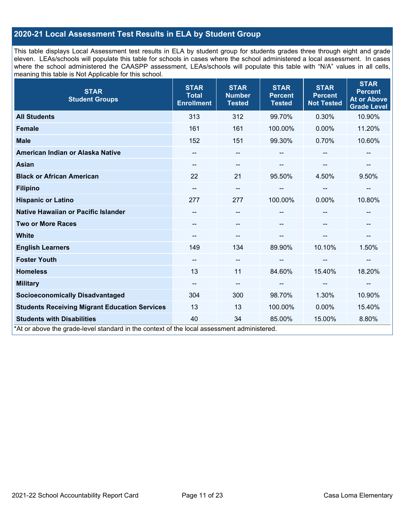## **2020-21 Local Assessment Test Results in ELA by Student Group**

This table displays Local Assessment test results in ELA by student group for students grades three through eight and grade eleven. LEAs/schools will populate this table for schools in cases where the school administered a local assessment. In cases where the school administered the CAASPP assessment, LEAs/schools will populate this table with "N/A" values in all cells, meaning this table is Not Applicable for this school.

| <b>STAR</b><br><b>Student Groups</b>                                                                                            | <b>STAR</b><br><b>Total</b><br><b>Enrollment</b> | <b>STAR</b><br><b>Number</b><br><b>Tested</b> | <b>STAR</b><br><b>Percent</b><br><b>Tested</b> | <b>STAR</b><br><b>Percent</b><br><b>Not Tested</b> | <b>STAR</b><br><b>Percent</b><br><b>At or Above</b><br><b>Grade Level</b> |
|---------------------------------------------------------------------------------------------------------------------------------|--------------------------------------------------|-----------------------------------------------|------------------------------------------------|----------------------------------------------------|---------------------------------------------------------------------------|
| <b>All Students</b>                                                                                                             | 313                                              | 312                                           | 99.70%                                         | 0.30%                                              | 10.90%                                                                    |
| Female                                                                                                                          | 161                                              | 161                                           | 100.00%                                        | 0.00%                                              | 11.20%                                                                    |
| <b>Male</b>                                                                                                                     | 152                                              | 151                                           | 99.30%                                         | 0.70%                                              | 10.60%                                                                    |
| American Indian or Alaska Native                                                                                                | --                                               | $\qquad \qquad -$                             | --                                             |                                                    |                                                                           |
| <b>Asian</b>                                                                                                                    | --                                               | --                                            |                                                | $\sim$                                             | --                                                                        |
| <b>Black or African American</b>                                                                                                | 22                                               | 21                                            | 95.50%                                         | 4.50%                                              | 9.50%                                                                     |
| <b>Filipino</b>                                                                                                                 | --                                               | --                                            |                                                | --                                                 | --                                                                        |
| <b>Hispanic or Latino</b>                                                                                                       | 277                                              | 277                                           | 100.00%                                        | $0.00\%$                                           | 10.80%                                                                    |
| Native Hawaiian or Pacific Islander                                                                                             |                                                  | --                                            |                                                |                                                    |                                                                           |
| <b>Two or More Races</b>                                                                                                        |                                                  | --                                            |                                                |                                                    |                                                                           |
| <b>White</b>                                                                                                                    | --                                               | --                                            |                                                | --                                                 | --                                                                        |
| <b>English Learners</b>                                                                                                         | 149                                              | 134                                           | 89.90%                                         | 10.10%                                             | 1.50%                                                                     |
| <b>Foster Youth</b>                                                                                                             | --                                               | --                                            |                                                | $\overline{\phantom{a}}$                           | --                                                                        |
| <b>Homeless</b>                                                                                                                 | 13                                               | 11                                            | 84.60%                                         | 15.40%                                             | 18.20%                                                                    |
| <b>Military</b>                                                                                                                 | --                                               | $\overline{\phantom{m}}$                      | $\overline{\phantom{a}}$                       | $\overline{\phantom{a}}$                           | --                                                                        |
| <b>Socioeconomically Disadvantaged</b>                                                                                          | 304                                              | 300                                           | 98.70%                                         | 1.30%                                              | 10.90%                                                                    |
| <b>Students Receiving Migrant Education Services</b>                                                                            | 13                                               | 13                                            | 100.00%                                        | 0.00%                                              | 15.40%                                                                    |
| <b>Students with Disabilities</b><br>*At or above the grade-level standard in the context of the local assessment administered. | 40                                               | 34                                            | 85.00%                                         | 15.00%                                             | 8.80%                                                                     |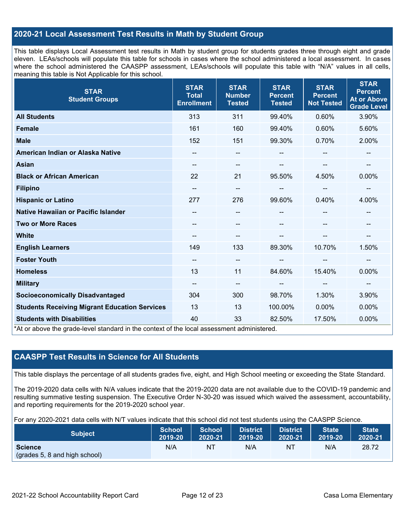## **2020-21 Local Assessment Test Results in Math by Student Group**

This table displays Local Assessment test results in Math by student group for students grades three through eight and grade eleven. LEAs/schools will populate this table for schools in cases where the school administered a local assessment. In cases where the school administered the CAASPP assessment, LEAs/schools will populate this table with "N/A" values in all cells, meaning this table is Not Applicable for this school.

| <b>STAR</b><br><b>Student Groups</b>                                                                                            | <b>STAR</b><br><b>Total</b><br><b>Enrollment</b> | <b>STAR</b><br><b>Number</b><br><b>Tested</b> | <b>STAR</b><br><b>Percent</b><br><b>Tested</b> | <b>STAR</b><br><b>Percent</b><br><b>Not Tested</b> | <b>STAR</b><br><b>Percent</b><br><b>At or Above</b><br><b>Grade Level</b> |
|---------------------------------------------------------------------------------------------------------------------------------|--------------------------------------------------|-----------------------------------------------|------------------------------------------------|----------------------------------------------------|---------------------------------------------------------------------------|
| <b>All Students</b>                                                                                                             | 313                                              | 311                                           | 99.40%                                         | 0.60%                                              | 3.90%                                                                     |
| <b>Female</b>                                                                                                                   | 161                                              | 160                                           | 99.40%                                         | 0.60%                                              | 5.60%                                                                     |
| <b>Male</b>                                                                                                                     | 152                                              | 151                                           | 99.30%                                         | 0.70%                                              | 2.00%                                                                     |
| American Indian or Alaska Native                                                                                                | --                                               | $\overline{\phantom{m}}$                      | --                                             | --                                                 | --                                                                        |
| <b>Asian</b>                                                                                                                    | --                                               | $\sim$                                        |                                                |                                                    | --                                                                        |
| <b>Black or African American</b>                                                                                                | 22                                               | 21                                            | 95.50%                                         | 4.50%                                              | 0.00%                                                                     |
| <b>Filipino</b>                                                                                                                 | --                                               | --                                            | --                                             | --                                                 | --                                                                        |
| <b>Hispanic or Latino</b>                                                                                                       | 277                                              | 276                                           | 99.60%                                         | 0.40%                                              | 4.00%                                                                     |
| <b>Native Hawaiian or Pacific Islander</b>                                                                                      | --                                               | $\overline{\phantom{m}}$                      | --                                             |                                                    |                                                                           |
| <b>Two or More Races</b>                                                                                                        |                                                  | $\qquad \qquad -$                             |                                                |                                                    | --                                                                        |
| <b>White</b>                                                                                                                    |                                                  | --                                            |                                                |                                                    | --                                                                        |
| <b>English Learners</b>                                                                                                         | 149                                              | 133                                           | 89.30%                                         | 10.70%                                             | 1.50%                                                                     |
| <b>Foster Youth</b>                                                                                                             | $\overline{\phantom{a}}$                         | $\overline{\phantom{m}}$                      |                                                |                                                    | --                                                                        |
| <b>Homeless</b>                                                                                                                 | 13                                               | 11                                            | 84.60%                                         | 15.40%                                             | 0.00%                                                                     |
| <b>Military</b>                                                                                                                 | $\overline{\phantom{a}}$                         | $\overline{\phantom{a}}$                      | --                                             | $\overline{\phantom{m}}$                           | $\overline{\phantom{a}}$                                                  |
| <b>Socioeconomically Disadvantaged</b>                                                                                          | 304                                              | 300                                           | 98.70%                                         | 1.30%                                              | 3.90%                                                                     |
| <b>Students Receiving Migrant Education Services</b>                                                                            | 13                                               | 13                                            | 100.00%                                        | $0.00\%$                                           | 0.00%                                                                     |
| <b>Students with Disabilities</b><br>*At or above the grade-level standard in the context of the local assessment administered. | 40                                               | 33                                            | 82.50%                                         | 17.50%                                             | 0.00%                                                                     |

## **CAASPP Test Results in Science for All Students**

This table displays the percentage of all students grades five, eight, and High School meeting or exceeding the State Standard.

The 2019-2020 data cells with N/A values indicate that the 2019-2020 data are not available due to the COVID-19 pandemic and resulting summative testing suspension. The Executive Order N-30-20 was issued which waived the assessment, accountability, and reporting requirements for the 2019-2020 school year.

For any 2020-2021 data cells with N/T values indicate that this school did not test students using the CAASPP Science.

| <b>Subject</b>                                  | <b>School</b> | <b>School</b> | <b>District</b> | District | <b>State</b> | <b>State</b> |
|-------------------------------------------------|---------------|---------------|-----------------|----------|--------------|--------------|
|                                                 | 2019-20       | 2020-21       | 2019-20         | 2020-21  | 2019-20      | 2020-21      |
| <b>Science</b><br>(grades 5, 8 and high school) | N/A           | ΝT            | N/A             | ΝT       | N/A          | 28.72        |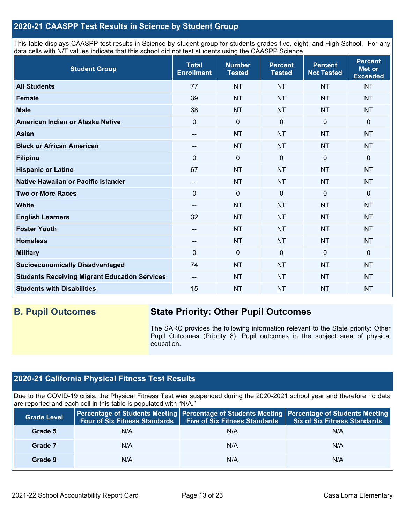## **2020-21 CAASPP Test Results in Science by Student Group**

This table displays CAASPP test results in Science by student group for students grades five, eight, and High School. For any data cells with N/T values indicate that this school did not test students using the CAASPP Science.

| <b>Student Group</b>                                 | <b>Total</b><br><b>Enrollment</b> | <b>Number</b><br><b>Tested</b> | <b>Percent</b><br><b>Tested</b> | <b>Percent</b><br><b>Not Tested</b> | <b>Percent</b><br><b>Met or</b><br><b>Exceeded</b> |
|------------------------------------------------------|-----------------------------------|--------------------------------|---------------------------------|-------------------------------------|----------------------------------------------------|
| <b>All Students</b>                                  | 77                                | <b>NT</b>                      | <b>NT</b>                       | <b>NT</b>                           | <b>NT</b>                                          |
| <b>Female</b>                                        | 39                                | <b>NT</b>                      | <b>NT</b>                       | <b>NT</b>                           | <b>NT</b>                                          |
| <b>Male</b>                                          | 38                                | <b>NT</b>                      | <b>NT</b>                       | <b>NT</b>                           | <b>NT</b>                                          |
| American Indian or Alaska Native                     | $\Omega$                          | $\mathbf 0$                    | $\mathbf 0$                     | $\mathbf 0$                         | 0                                                  |
| <b>Asian</b>                                         | --                                | <b>NT</b>                      | <b>NT</b>                       | <b>NT</b>                           | <b>NT</b>                                          |
| <b>Black or African American</b>                     | --                                | <b>NT</b>                      | <b>NT</b>                       | <b>NT</b>                           | <b>NT</b>                                          |
| <b>Filipino</b>                                      | $\Omega$                          | $\pmb{0}$                      | $\mathbf 0$                     | $\mathbf 0$                         | 0                                                  |
| <b>Hispanic or Latino</b>                            | 67                                | <b>NT</b>                      | <b>NT</b>                       | <b>NT</b>                           | <b>NT</b>                                          |
| Native Hawaiian or Pacific Islander                  | --                                | <b>NT</b>                      | <b>NT</b>                       | <b>NT</b>                           | <b>NT</b>                                          |
| <b>Two or More Races</b>                             | 0                                 | $\mathbf 0$                    | $\mathbf 0$                     | $\Omega$                            | 0                                                  |
| <b>White</b>                                         | $\overline{\phantom{a}}$          | <b>NT</b>                      | <b>NT</b>                       | <b>NT</b>                           | <b>NT</b>                                          |
| <b>English Learners</b>                              | 32                                | <b>NT</b>                      | <b>NT</b>                       | <b>NT</b>                           | <b>NT</b>                                          |
| <b>Foster Youth</b>                                  | $-$                               | <b>NT</b>                      | <b>NT</b>                       | <b>NT</b>                           | <b>NT</b>                                          |
| <b>Homeless</b>                                      | --                                | <b>NT</b>                      | <b>NT</b>                       | <b>NT</b>                           | <b>NT</b>                                          |
| <b>Military</b>                                      | 0                                 | $\pmb{0}$                      | $\mathbf 0$                     | $\mathbf 0$                         | 0                                                  |
| <b>Socioeconomically Disadvantaged</b>               | 74                                | <b>NT</b>                      | <b>NT</b>                       | <b>NT</b>                           | <b>NT</b>                                          |
| <b>Students Receiving Migrant Education Services</b> | --                                | <b>NT</b>                      | <b>NT</b>                       | <b>NT</b>                           | <b>NT</b>                                          |
| <b>Students with Disabilities</b>                    | 15                                | <b>NT</b>                      | <b>NT</b>                       | <b>NT</b>                           | <b>NT</b>                                          |

## **B. Pupil Outcomes State Priority: Other Pupil Outcomes**

The SARC provides the following information relevant to the State priority: Other Pupil Outcomes (Priority 8): Pupil outcomes in the subject area of physical education.

## **2020-21 California Physical Fitness Test Results**

Due to the COVID-19 crisis, the Physical Fitness Test was suspended during the 2020-2021 school year and therefore no data are reported and each cell in this table is populated with "N/A."

| <b>Grade Level</b> | <b>Four of Six Fitness Standards</b> | <b>Five of Six Fitness Standards</b> | Percentage of Students Meeting   Percentage of Students Meeting   Percentage of Students Meeting<br><b>Six of Six Fitness Standards</b> |
|--------------------|--------------------------------------|--------------------------------------|-----------------------------------------------------------------------------------------------------------------------------------------|
| Grade 5            | N/A                                  | N/A                                  | N/A                                                                                                                                     |
| Grade 7            | N/A                                  | N/A                                  | N/A                                                                                                                                     |
| Grade 9            | N/A                                  | N/A                                  | N/A                                                                                                                                     |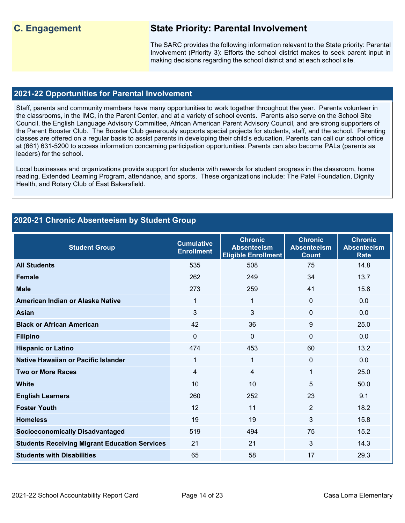## **C. Engagement State Priority: Parental Involvement**

The SARC provides the following information relevant to the State priority: Parental Involvement (Priority 3): Efforts the school district makes to seek parent input in making decisions regarding the school district and at each school site.

#### **2021-22 Opportunities for Parental Involvement**

Staff, parents and community members have many opportunities to work together throughout the year. Parents volunteer in the classrooms, in the IMC, in the Parent Center, and at a variety of school events. Parents also serve on the School Site Council, the English Language Advisory Committee, African American Parent Advisory Council, and are strong supporters of the Parent Booster Club. The Booster Club generously supports special projects for students, staff, and the school. Parenting classes are offered on a regular basis to assist parents in developing their child's education. Parents can call our school office at (661) 631-5200 to access information concerning participation opportunities. Parents can also become PALs (parents as leaders) for the school.

Local businesses and organizations provide support for students with rewards for student progress in the classroom, home reading, Extended Learning Program, attendance, and sports. These organizations include: The Patel Foundation, Dignity Health, and Rotary Club of East Bakersfield.

## **2020-21 Chronic Absenteeism by Student Group**

| <b>Student Group</b>                                 | <b>Cumulative</b><br><b>Enrollment</b> | <b>Chronic</b><br><b>Absenteeism</b><br><b>Eligible Enrollment</b> | <b>Chronic</b><br><b>Absenteeism</b><br><b>Count</b> | <b>Chronic</b><br><b>Absenteeism</b><br><b>Rate</b> |
|------------------------------------------------------|----------------------------------------|--------------------------------------------------------------------|------------------------------------------------------|-----------------------------------------------------|
| <b>All Students</b>                                  | 535                                    | 508                                                                | 75                                                   | 14.8                                                |
| <b>Female</b>                                        | 262                                    | 249                                                                | 34                                                   | 13.7                                                |
| <b>Male</b>                                          | 273                                    | 259                                                                | 41                                                   | 15.8                                                |
| American Indian or Alaska Native                     | 1                                      | 1                                                                  | $\Omega$                                             | 0.0                                                 |
| <b>Asian</b>                                         | 3                                      | 3                                                                  | 0                                                    | 0.0                                                 |
| <b>Black or African American</b>                     | 42                                     | 36                                                                 | 9                                                    | 25.0                                                |
| <b>Filipino</b>                                      | $\mathbf 0$                            | $\mathbf 0$                                                        | $\mathbf 0$                                          | 0.0                                                 |
| <b>Hispanic or Latino</b>                            | 474                                    | 453                                                                | 60                                                   | 13.2                                                |
| Native Hawaiian or Pacific Islander                  | 1                                      | 1                                                                  | $\mathbf 0$                                          | 0.0                                                 |
| <b>Two or More Races</b>                             | 4                                      | 4                                                                  | 1                                                    | 25.0                                                |
| <b>White</b>                                         | 10                                     | 10                                                                 | 5                                                    | 50.0                                                |
| <b>English Learners</b>                              | 260                                    | 252                                                                | 23                                                   | 9.1                                                 |
| <b>Foster Youth</b>                                  | 12                                     | 11                                                                 | $\overline{2}$                                       | 18.2                                                |
| <b>Homeless</b>                                      | 19                                     | 19                                                                 | 3                                                    | 15.8                                                |
| <b>Socioeconomically Disadvantaged</b>               | 519                                    | 494                                                                | 75                                                   | 15.2                                                |
| <b>Students Receiving Migrant Education Services</b> | 21                                     | 21                                                                 | 3                                                    | 14.3                                                |
| <b>Students with Disabilities</b>                    | 65                                     | 58                                                                 | 17                                                   | 29.3                                                |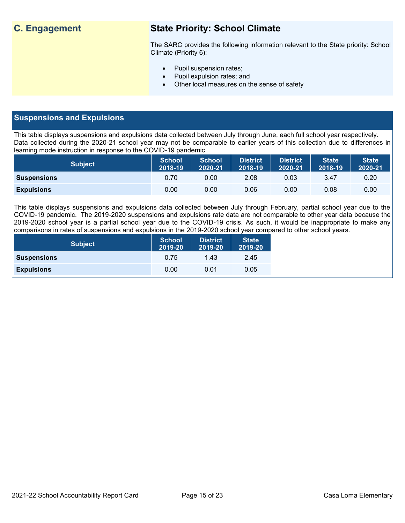## **C. Engagement State Priority: School Climate**

The SARC provides the following information relevant to the State priority: School Climate (Priority 6):

- Pupil suspension rates;
- Pupil expulsion rates; and
- Other local measures on the sense of safety

## **Suspensions and Expulsions**

This table displays suspensions and expulsions data collected between July through June, each full school year respectively. Data collected during the 2020-21 school year may not be comparable to earlier years of this collection due to differences in learning mode instruction in response to the COVID-19 pandemic.

| <b>Subject</b>     | <b>School</b><br>2018-19 | <b>School</b><br>2020-21 | <b>District</b><br>2018-19 | <b>District</b><br>2020-21 | <b>State</b><br>2018-19 | <b>State</b><br>2020-21 |
|--------------------|--------------------------|--------------------------|----------------------------|----------------------------|-------------------------|-------------------------|
| <b>Suspensions</b> | 0.70                     | 0.00                     | 2.08                       | 0.03                       | 3.47                    | 0.20                    |
| <b>Expulsions</b>  | 0.00                     | 0.00                     | 0.06                       | 0.00                       | 0.08                    | 0.00                    |

This table displays suspensions and expulsions data collected between July through February, partial school year due to the COVID-19 pandemic. The 2019-2020 suspensions and expulsions rate data are not comparable to other year data because the 2019-2020 school year is a partial school year due to the COVID-19 crisis. As such, it would be inappropriate to make any comparisons in rates of suspensions and expulsions in the 2019-2020 school year compared to other school years.

| <b>Subject</b>     | <b>School</b><br>2019-20 | <b>District</b><br>2019-20 | <b>State</b><br>2019-20 |
|--------------------|--------------------------|----------------------------|-------------------------|
| <b>Suspensions</b> | 0.75                     | 1.43                       | 2.45                    |
| <b>Expulsions</b>  | 0.00                     | 0.01                       | 0.05                    |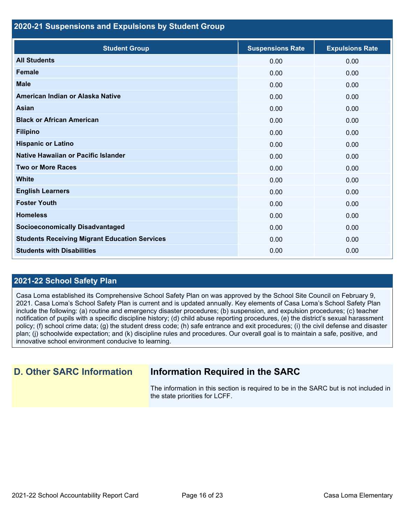### **2020-21 Suspensions and Expulsions by Student Group**

| <b>Student Group</b>                                 | <b>Suspensions Rate</b> | <b>Expulsions Rate</b> |
|------------------------------------------------------|-------------------------|------------------------|
| <b>All Students</b>                                  | 0.00                    | 0.00                   |
| <b>Female</b>                                        | 0.00                    | 0.00                   |
| <b>Male</b>                                          | 0.00                    | 0.00                   |
| American Indian or Alaska Native                     | 0.00                    | 0.00                   |
| Asian                                                | 0.00                    | 0.00                   |
| <b>Black or African American</b>                     | 0.00                    | 0.00                   |
| <b>Filipino</b>                                      | 0.00                    | 0.00                   |
| <b>Hispanic or Latino</b>                            | 0.00                    | 0.00                   |
| Native Hawaiian or Pacific Islander                  | 0.00                    | 0.00                   |
| <b>Two or More Races</b>                             | 0.00                    | 0.00                   |
| <b>White</b>                                         | 0.00                    | 0.00                   |
| <b>English Learners</b>                              | 0.00                    | 0.00                   |
| <b>Foster Youth</b>                                  | 0.00                    | 0.00                   |
| <b>Homeless</b>                                      | 0.00                    | 0.00                   |
| <b>Socioeconomically Disadvantaged</b>               | 0.00                    | 0.00                   |
| <b>Students Receiving Migrant Education Services</b> | 0.00                    | 0.00                   |
| <b>Students with Disabilities</b>                    | 0.00                    | 0.00                   |

## **2021-22 School Safety Plan**

Casa Loma established its Comprehensive School Safety Plan on was approved by the School Site Council on February 9, 2021. Casa Loma's School Safety Plan is current and is updated annually. Key elements of Casa Loma's School Safety Plan include the following: (a) routine and emergency disaster procedures; (b) suspension, and expulsion procedures; (c) teacher notification of pupils with a specific discipline history; (d) child abuse reporting procedures, (e) the district's sexual harassment policy; (f) school crime data; (g) the student dress code; (h) safe entrance and exit procedures; (i) the civil defense and disaster plan; (j) schoolwide expectation; and (k) discipline rules and procedures. Our overall goal is to maintain a safe, positive, and innovative school environment conducive to learning.

## **D. Other SARC Information Information Required in the SARC**

The information in this section is required to be in the SARC but is not included in the state priorities for LCFF.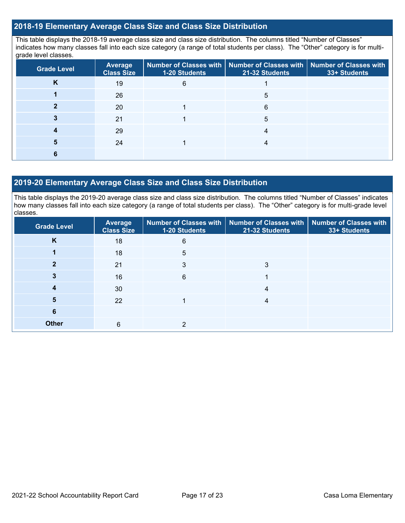## **2018-19 Elementary Average Class Size and Class Size Distribution**

This table displays the 2018-19 average class size and class size distribution. The columns titled "Number of Classes" indicates how many classes fall into each size category (a range of total students per class). The "Other" category is for multigrade level classes.

| <b>Grade Level</b> | <b>Average</b><br><b>Class Size</b> | 1-20 Students | Number of Classes with   Number of Classes with   Number of Classes with<br>21-32 Students | 33+ Students |
|--------------------|-------------------------------------|---------------|--------------------------------------------------------------------------------------------|--------------|
| κ                  | 19                                  | 6             |                                                                                            |              |
|                    | 26                                  |               | 5                                                                                          |              |
|                    | 20                                  |               | 6                                                                                          |              |
|                    | 21                                  |               | 5                                                                                          |              |
|                    | 29                                  |               |                                                                                            |              |
|                    | 24                                  |               |                                                                                            |              |
|                    |                                     |               |                                                                                            |              |

#### **2019-20 Elementary Average Class Size and Class Size Distribution**

This table displays the 2019-20 average class size and class size distribution. The columns titled "Number of Classes" indicates how many classes fall into each size category (a range of total students per class). The "Other" category is for multi-grade level classes.

| <b>Grade Level</b> | Average<br><b>Class Size</b> | 1-20 Students | Number of Classes with   Number of Classes with   Number of Classes with<br>21-32 Students | 33+ Students |
|--------------------|------------------------------|---------------|--------------------------------------------------------------------------------------------|--------------|
| K                  | 18                           | 6             |                                                                                            |              |
|                    | 18                           | 5             |                                                                                            |              |
|                    | 21                           | 3             | 3                                                                                          |              |
|                    | 16                           | 6             |                                                                                            |              |
|                    | 30                           |               | 4                                                                                          |              |
| 5                  | 22                           |               | 4                                                                                          |              |
| 6                  |                              |               |                                                                                            |              |
| <b>Other</b>       | 6                            | 2             |                                                                                            |              |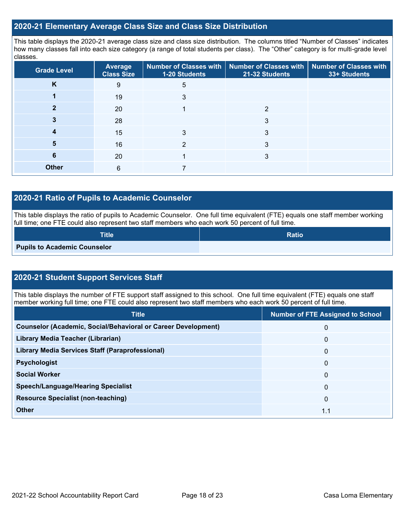### **2020-21 Elementary Average Class Size and Class Size Distribution**

This table displays the 2020-21 average class size and class size distribution. The columns titled "Number of Classes" indicates how many classes fall into each size category (a range of total students per class). The "Other" category is for multi-grade level classes.

| <b>Grade Level</b> | <b>Average</b><br><b>Class Size</b> | 1-20 Students | Number of Classes with   Number of Classes with   Number of Classes with<br>21-32 Students | 33+ Students |
|--------------------|-------------------------------------|---------------|--------------------------------------------------------------------------------------------|--------------|
| K                  | 9                                   | 5             |                                                                                            |              |
|                    | 19                                  | 3             |                                                                                            |              |
|                    | 20                                  |               | 2                                                                                          |              |
|                    | 28                                  |               | 3                                                                                          |              |
|                    | 15                                  | 3             | 3                                                                                          |              |
| 5                  | 16                                  | っ             | 3                                                                                          |              |
| 6                  | 20                                  |               | 3                                                                                          |              |
| <b>Other</b>       | 6                                   |               |                                                                                            |              |

### **2020-21 Ratio of Pupils to Academic Counselor**

This table displays the ratio of pupils to Academic Counselor. One full time equivalent (FTE) equals one staff member working full time; one FTE could also represent two staff members who each work 50 percent of full time.

| $\textsf{Title}^{\dagger}$          | <b>Ratio</b> |
|-------------------------------------|--------------|
| <b>Pupils to Academic Counselor</b> |              |

## **2020-21 Student Support Services Staff**

This table displays the number of FTE support staff assigned to this school. One full time equivalent (FTE) equals one staff member working full time; one FTE could also represent two staff members who each work 50 percent of full time.

| <b>Title</b>                                                         | <b>Number of FTE Assigned to School</b> |
|----------------------------------------------------------------------|-----------------------------------------|
| <b>Counselor (Academic, Social/Behavioral or Career Development)</b> | 0                                       |
| Library Media Teacher (Librarian)                                    | $\mathbf{0}$                            |
| <b>Library Media Services Staff (Paraprofessional)</b>               | $\mathbf{0}$                            |
| <b>Psychologist</b>                                                  | $\mathbf{0}$                            |
| <b>Social Worker</b>                                                 | $\Omega$                                |
| <b>Speech/Language/Hearing Specialist</b>                            | $\Omega$                                |
| <b>Resource Specialist (non-teaching)</b>                            | $\mathbf{0}$                            |
| <b>Other</b>                                                         | 1.1                                     |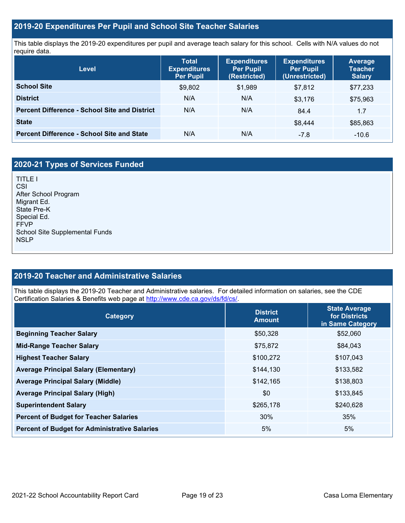## **2019-20 Expenditures Per Pupil and School Site Teacher Salaries**

This table displays the 2019-20 expenditures per pupil and average teach salary for this school. Cells with N/A values do not require data.

| Level                                                | <b>Total</b><br><b>Expenditures</b><br><b>Per Pupil</b> | <b>Expenditures</b><br><b>Per Pupil</b><br>(Restricted) | <b>Expenditures</b><br><b>Per Pupil</b><br>(Unrestricted) | <b>Average</b><br><b>Teacher</b><br><b>Salary</b> |
|------------------------------------------------------|---------------------------------------------------------|---------------------------------------------------------|-----------------------------------------------------------|---------------------------------------------------|
| <b>School Site</b>                                   | \$9,802                                                 | \$1,989                                                 | \$7.812                                                   | \$77,233                                          |
| <b>District</b>                                      | N/A                                                     | N/A                                                     | \$3,176                                                   | \$75,963                                          |
| <b>Percent Difference - School Site and District</b> | N/A                                                     | N/A                                                     | 84.4                                                      | 1.7                                               |
| <b>State</b>                                         |                                                         |                                                         | \$8.444                                                   | \$85,863                                          |
| <b>Percent Difference - School Site and State</b>    | N/A                                                     | N/A                                                     | $-7.8$                                                    | $-10.6$                                           |

## **2020-21 Types of Services Funded**

TITLE I CSI After School Program Migrant Ed. State Pre-K Special Ed. FFVP School Site Supplemental Funds NSLP

## **2019-20 Teacher and Administrative Salaries**

This table displays the 2019-20 Teacher and Administrative salaries. For detailed information on salaries, see the CDE Certification Salaries & Benefits web page at [http://www.cde.ca.gov/ds/fd/cs/.](http://www.cde.ca.gov/ds/fd/cs/)

| Category                                             | <b>District</b><br><b>Amount</b> | <b>State Average</b><br>for Districts<br>in Same Category |  |
|------------------------------------------------------|----------------------------------|-----------------------------------------------------------|--|
| <b>Beginning Teacher Salary</b>                      | \$50,328                         | \$52,060                                                  |  |
| <b>Mid-Range Teacher Salary</b>                      | \$75,872                         | \$84,043                                                  |  |
| <b>Highest Teacher Salary</b>                        | \$100,272                        | \$107,043                                                 |  |
| <b>Average Principal Salary (Elementary)</b>         | \$144,130                        | \$133,582                                                 |  |
| <b>Average Principal Salary (Middle)</b>             | \$142,165                        | \$138,803                                                 |  |
| <b>Average Principal Salary (High)</b>               | \$0                              | \$133,845                                                 |  |
| <b>Superintendent Salary</b>                         | \$265,178                        | \$240,628                                                 |  |
| <b>Percent of Budget for Teacher Salaries</b>        | 30%                              | 35%                                                       |  |
| <b>Percent of Budget for Administrative Salaries</b> | 5%                               | 5%                                                        |  |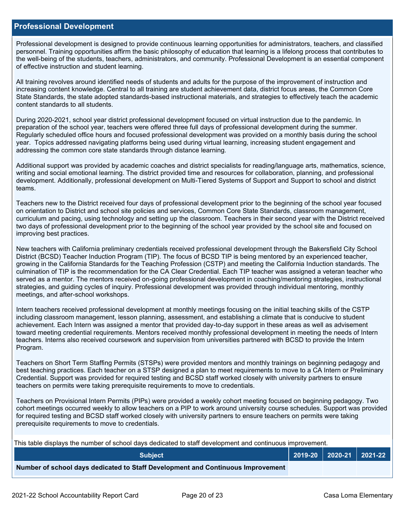#### **Professional Development**

Professional development is designed to provide continuous learning opportunities for administrators, teachers, and classified personnel. Training opportunities affirm the basic philosophy of education that learning is a lifelong process that contributes to the well-being of the students, teachers, administrators, and community. Professional Development is an essential component of effective instruction and student learning.

All training revolves around identified needs of students and adults for the purpose of the improvement of instruction and increasing content knowledge. Central to all training are student achievement data, district focus areas, the Common Core State Standards, the state adopted standards-based instructional materials, and strategies to effectively teach the academic content standards to all students.

During 2020-2021, school year district professional development focused on virtual instruction due to the pandemic. In preparation of the school year, teachers were offered three full days of professional development during the summer. Regularly scheduled office hours and focused professional development was provided on a monthly basis during the school year. Topics addressed navigating platforms being used during virtual learning, increasing student engagement and addressing the common core state standards through distance learning.

Additional support was provided by academic coaches and district specialists for reading/language arts, mathematics, science, writing and social emotional learning. The district provided time and resources for collaboration, planning, and professional development. Additionally, professional development on Multi-Tiered Systems of Support and Support to school and district teams.

Teachers new to the District received four days of professional development prior to the beginning of the school year focused on orientation to District and school site policies and services, Common Core State Standards, classroom management, curriculum and pacing, using technology and setting up the classroom. Teachers in their second year with the District received two days of professional development prior to the beginning of the school year provided by the school site and focused on improving best practices.

New teachers with California preliminary credentials received professional development through the Bakersfield City School District (BCSD) Teacher Induction Program (TIP). The focus of BCSD TIP is being mentored by an experienced teacher, growing in the California Standards for the Teaching Profession (CSTP) and meeting the California Induction standards. The culmination of TIP is the recommendation for the CA Clear Credential. Each TIP teacher was assigned a veteran teacher who served as a mentor. The mentors received on-going professional development in coaching/mentoring strategies, instructional strategies, and guiding cycles of inquiry. Professional development was provided through individual mentoring, monthly meetings, and after-school workshops.

Intern teachers received professional development at monthly meetings focusing on the initial teaching skills of the CSTP including classroom management, lesson planning, assessment, and establishing a climate that is conducive to student achievement. Each Intern was assigned a mentor that provided day-to-day support in these areas as well as advisement toward meeting credential requirements. Mentors received monthly professional development in meeting the needs of Intern teachers. Interns also received coursework and supervision from universities partnered with BCSD to provide the Intern Program.

Teachers on Short Term Staffing Permits (STSPs) were provided mentors and monthly trainings on beginning pedagogy and best teaching practices. Each teacher on a STSP designed a plan to meet requirements to move to a CA Intern or Preliminary Credential. Support was provided for required testing and BCSD staff worked closely with university partners to ensure teachers on permits were taking prerequisite requirements to move to credentials.

Teachers on Provisional Intern Permits (PIPs) were provided a weekly cohort meeting focused on beginning pedagogy. Two cohort meetings occurred weekly to allow teachers on a PIP to work around university course schedules. Support was provided for required testing and BCSD staff worked closely with university partners to ensure teachers on permits were taking prerequisite requirements to move to credentials.

This table displays the number of school days dedicated to staff development and continuous improvement.

| <b>Subject</b>                                                                  |  | 2019-20   2020-21   2021-22 |
|---------------------------------------------------------------------------------|--|-----------------------------|
| Number of school days dedicated to Staff Development and Continuous Improvement |  |                             |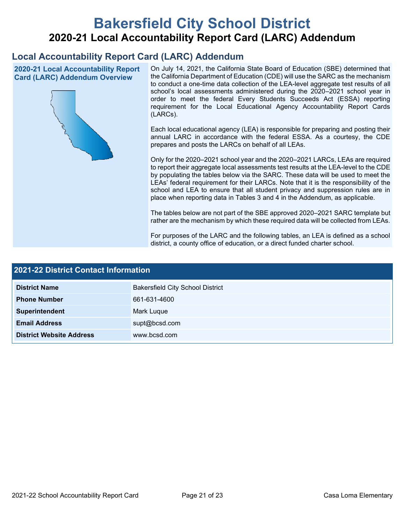# **Bakersfield City School District 2020-21 Local Accountability Report Card (LARC) Addendum**

## **Local Accountability Report Card (LARC) Addendum**

**2020-21 Local Accountability Report Card (LARC) Addendum Overview**



On July 14, 2021, the California State Board of Education (SBE) determined that the California Department of Education (CDE) will use the SARC as the mechanism to conduct a one-time data collection of the LEA-level aggregate test results of all school's local assessments administered during the 2020–2021 school year in order to meet the federal Every Students Succeeds Act (ESSA) reporting requirement for the Local Educational Agency Accountability Report Cards (LARCs).

Each local educational agency (LEA) is responsible for preparing and posting their annual LARC in accordance with the federal ESSA. As a courtesy, the CDE prepares and posts the LARCs on behalf of all LEAs.

Only for the 2020–2021 school year and the 2020–2021 LARCs, LEAs are required to report their aggregate local assessments test results at the LEA-level to the CDE by populating the tables below via the SARC. These data will be used to meet the LEAs' federal requirement for their LARCs. Note that it is the responsibility of the school and LEA to ensure that all student privacy and suppression rules are in place when reporting data in Tables 3 and 4 in the Addendum, as applicable.

The tables below are not part of the SBE approved 2020–2021 SARC template but rather are the mechanism by which these required data will be collected from LEAs.

For purposes of the LARC and the following tables, an LEA is defined as a school district, a county office of education, or a direct funded charter school.

| <b>2021-22 District Contact Information</b> |                                         |  |  |  |
|---------------------------------------------|-----------------------------------------|--|--|--|
| <b>District Name</b>                        | <b>Bakersfield City School District</b> |  |  |  |
| <b>Phone Number</b>                         | 661-631-4600                            |  |  |  |
| Superintendent                              | Mark Luque                              |  |  |  |
| <b>Email Address</b>                        | supt@bcsd.com                           |  |  |  |
| <b>District Website Address</b>             | www.bcsd.com                            |  |  |  |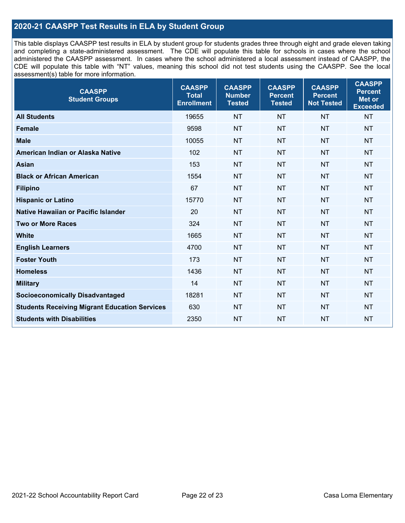## **2020-21 CAASPP Test Results in ELA by Student Group**

This table displays CAASPP test results in ELA by student group for students grades three through eight and grade eleven taking and completing a state-administered assessment. The CDE will populate this table for schools in cases where the school administered the CAASPP assessment. In cases where the school administered a local assessment instead of CAASPP, the CDE will populate this table with "NT" values, meaning this school did not test students using the CAASPP. See the local assessment(s) table for more information.

| <b>CAASPP</b><br><b>Student Groups</b>               | <b>CAASPP</b><br><b>Total</b><br><b>Enrollment</b> | <b>CAASPP</b><br><b>Number</b><br><b>Tested</b> | <b>CAASPP</b><br><b>Percent</b><br><b>Tested</b> | <b>CAASPP</b><br><b>Percent</b><br><b>Not Tested</b> | <b>CAASPP</b><br><b>Percent</b><br>Met or<br><b>Exceeded</b> |
|------------------------------------------------------|----------------------------------------------------|-------------------------------------------------|--------------------------------------------------|------------------------------------------------------|--------------------------------------------------------------|
| <b>All Students</b>                                  | 19655                                              | <b>NT</b>                                       | <b>NT</b>                                        | <b>NT</b>                                            | <b>NT</b>                                                    |
| <b>Female</b>                                        | 9598                                               | <b>NT</b>                                       | <b>NT</b>                                        | <b>NT</b>                                            | <b>NT</b>                                                    |
| <b>Male</b>                                          | 10055                                              | <b>NT</b>                                       | <b>NT</b>                                        | <b>NT</b>                                            | <b>NT</b>                                                    |
| American Indian or Alaska Native                     | 102                                                | <b>NT</b>                                       | <b>NT</b>                                        | <b>NT</b>                                            | <b>NT</b>                                                    |
| <b>Asian</b>                                         | 153                                                | <b>NT</b>                                       | <b>NT</b>                                        | <b>NT</b>                                            | <b>NT</b>                                                    |
| <b>Black or African American</b>                     | 1554                                               | <b>NT</b>                                       | <b>NT</b>                                        | <b>NT</b>                                            | NT                                                           |
| <b>Filipino</b>                                      | 67                                                 | <b>NT</b>                                       | <b>NT</b>                                        | <b>NT</b>                                            | <b>NT</b>                                                    |
| <b>Hispanic or Latino</b>                            | 15770                                              | <b>NT</b>                                       | <b>NT</b>                                        | <b>NT</b>                                            | <b>NT</b>                                                    |
| Native Hawaiian or Pacific Islander                  | 20                                                 | <b>NT</b>                                       | <b>NT</b>                                        | <b>NT</b>                                            | <b>NT</b>                                                    |
| <b>Two or More Races</b>                             | 324                                                | <b>NT</b>                                       | <b>NT</b>                                        | <b>NT</b>                                            | <b>NT</b>                                                    |
| <b>White</b>                                         | 1665                                               | <b>NT</b>                                       | <b>NT</b>                                        | <b>NT</b>                                            | <b>NT</b>                                                    |
| <b>English Learners</b>                              | 4700                                               | <b>NT</b>                                       | <b>NT</b>                                        | <b>NT</b>                                            | <b>NT</b>                                                    |
| <b>Foster Youth</b>                                  | 173                                                | <b>NT</b>                                       | <b>NT</b>                                        | <b>NT</b>                                            | <b>NT</b>                                                    |
| <b>Homeless</b>                                      | 1436                                               | <b>NT</b>                                       | <b>NT</b>                                        | <b>NT</b>                                            | <b>NT</b>                                                    |
| <b>Military</b>                                      | 14                                                 | <b>NT</b>                                       | <b>NT</b>                                        | <b>NT</b>                                            | <b>NT</b>                                                    |
| <b>Socioeconomically Disadvantaged</b>               | 18281                                              | <b>NT</b>                                       | <b>NT</b>                                        | <b>NT</b>                                            | <b>NT</b>                                                    |
| <b>Students Receiving Migrant Education Services</b> | 630                                                | <b>NT</b>                                       | <b>NT</b>                                        | <b>NT</b>                                            | NT                                                           |
| <b>Students with Disabilities</b>                    | 2350                                               | <b>NT</b>                                       | <b>NT</b>                                        | <b>NT</b>                                            | NT                                                           |